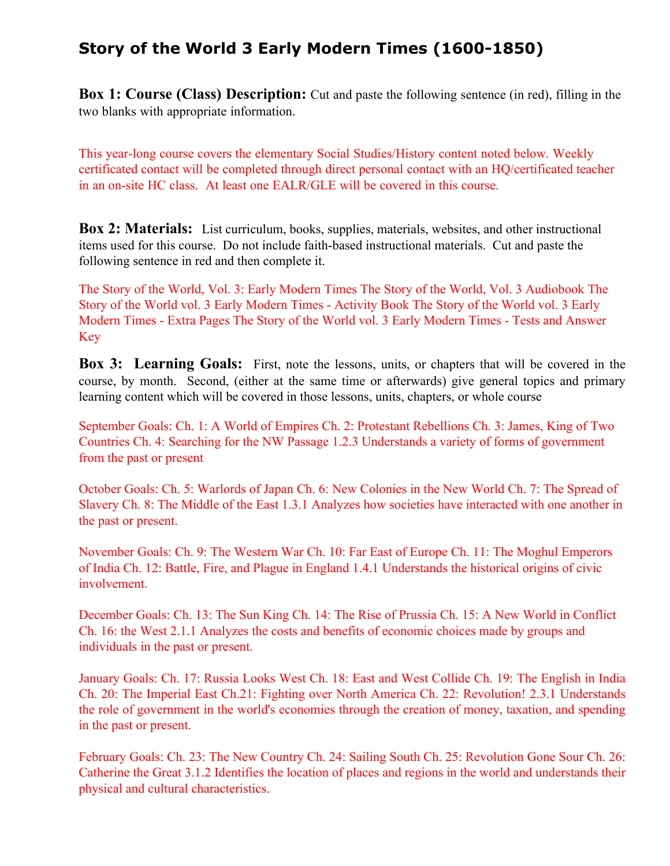## **Story of the World 3 Early Modern Times (1600-1850)**

**Box 1: Course (Class) Description:** Cut and paste the following sentence (in red), filling in the two blanks with appropriate information.

This year-long course covers the elementary Social Studies/History content noted below. Weekly certificated contact will be completed through direct personal contact with an HQ/certificated teacher in an on-site HC class. At least one EALR/GLE will be covered in this course.

**Box 2: Materials:** List curriculum, books, supplies, materials, websites, and other instructional items used for this course. Do not include faith-based instructional materials. Cut and paste the following sentence in red and then complete it.

The Story of the World, Vol. 3: Early Modern Times The Story of the World, Vol. 3 Audiobook The Story of the World vol. 3 Early Modern Times - Activity Book The Story of the World vol. 3 Early Modern Times - Extra Pages The Story of the World vol. 3 Early Modern Times - Tests and Answer Key

**Box 3: Learning Goals:** First, note the lessons, units, or chapters that will be covered in the course, by month. Second, (either at the same time or afterwards) give general topics and primary learning content which will be covered in those lessons, units, chapters, or whole course

September Goals: Ch. 1: A World of Empires Ch. 2: Protestant Rebellions Ch. 3: James, King of Two Countries Ch. 4: Searching for the NW Passage 1.2.3 Understands a variety of forms of government from the past or present

October Goals: Ch. 5: Warlords of Japan Ch. 6: New Colonies in the New World Ch. 7: The Spread of Slavery Ch. 8: The Middle of the East 1.3.1 Analyzes how societies have interacted with one another in the past or present.

November Goals: Ch. 9: The Western War Ch. 10: Far East of Europe Ch. 11: The Moghul Emperors of India Ch. 12: Battle, Fire, and Plague in England 1.4.1 Understands the historical origins of civic involvement.

December Goals: Ch. 13: The Sun King Ch. 14: The Rise of Prussia Ch. 15: A New World in Conflict Ch. 16: the West 2.1.1 Analyzes the costs and benefits of economic choices made by groups and individuals in the past or present.

January Goals: Ch. 17: Russia Looks West Ch. 18: East and West Collide Ch. 19: The English in India Ch. 20: The Imperial East Ch.21: Fighting over North America Ch. 22: Revolution! 2.3.1 Understands the role of government in the world's economies through the creation of money, taxation, and spending in the past or present.

February Goals: Ch. 23: The New Country Ch. 24: Sailing South Ch. 25: Revolution Gone Sour Ch. 26: Catherine the Great 3.1.2 Identifies the location of places and regions in the world and understands their physical and cultural characteristics.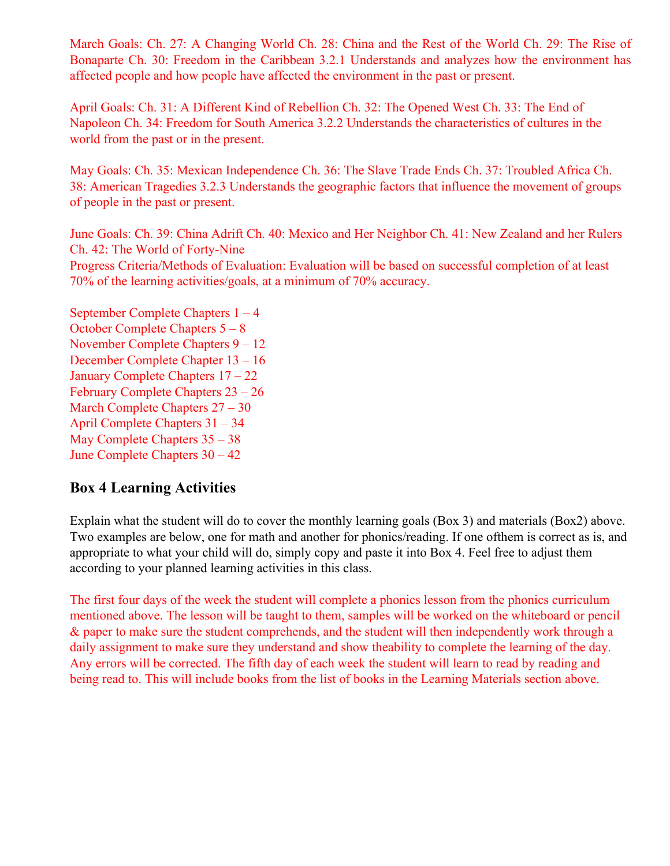March Goals: Ch. 27: A Changing World Ch. 28: China and the Rest of the World Ch. 29: The Rise of Bonaparte Ch. 30: Freedom in the Caribbean 3.2.1 Understands and analyzes how the environment has affected people and how people have affected the environment in the past or present.

April Goals: Ch. 31: A Different Kind of Rebellion Ch. 32: The Opened West Ch. 33: The End of Napoleon Ch. 34: Freedom for South America 3.2.2 Understands the characteristics of cultures in the world from the past or in the present.

May Goals: Ch. 35: Mexican Independence Ch. 36: The Slave Trade Ends Ch. 37: Troubled Africa Ch. 38: American Tragedies 3.2.3 Understands the geographic factors that influence the movement of groups of people in the past or present.

June Goals: Ch. 39: China Adrift Ch. 40: Mexico and Her Neighbor Ch. 41: New Zealand and her Rulers Ch. 42: The World of Forty-Nine

Progress Criteria/Methods of Evaluation: Evaluation will be based on successful completion of at least 70% of the learning activities/goals, at a minimum of 70% accuracy.

September Complete Chapters 1 – 4 October Complete Chapters 5 – 8 November Complete Chapters 9 – 12 December Complete Chapter 13 – 16 January Complete Chapters 17 – 22 February Complete Chapters 23 – 26 March Complete Chapters 27 – 30 April Complete Chapters 31 – 34 May Complete Chapters 35 – 38 June Complete Chapters 30 – 42

## **Box 4 Learning Activities**

Explain what the student will do to cover the monthly learning goals (Box 3) and materials (Box2) above. Two examples are below, one for math and another for phonics/reading. If one ofthem is correct as is, and appropriate to what your child will do, simply copy and paste it into Box 4. Feel free to adjust them according to your planned learning activities in this class.

The first four days of the week the student will complete a phonics lesson from the phonics curriculum mentioned above. The lesson will be taught to them, samples will be worked on the whiteboard or pencil & paper to make sure the student comprehends, and the student will then independently work through a daily assignment to make sure they understand and show theability to complete the learning of the day. Any errors will be corrected. The fifth day of each week the student will learn to read by reading and being read to. This will include books from the list of books in the Learning Materials section above.